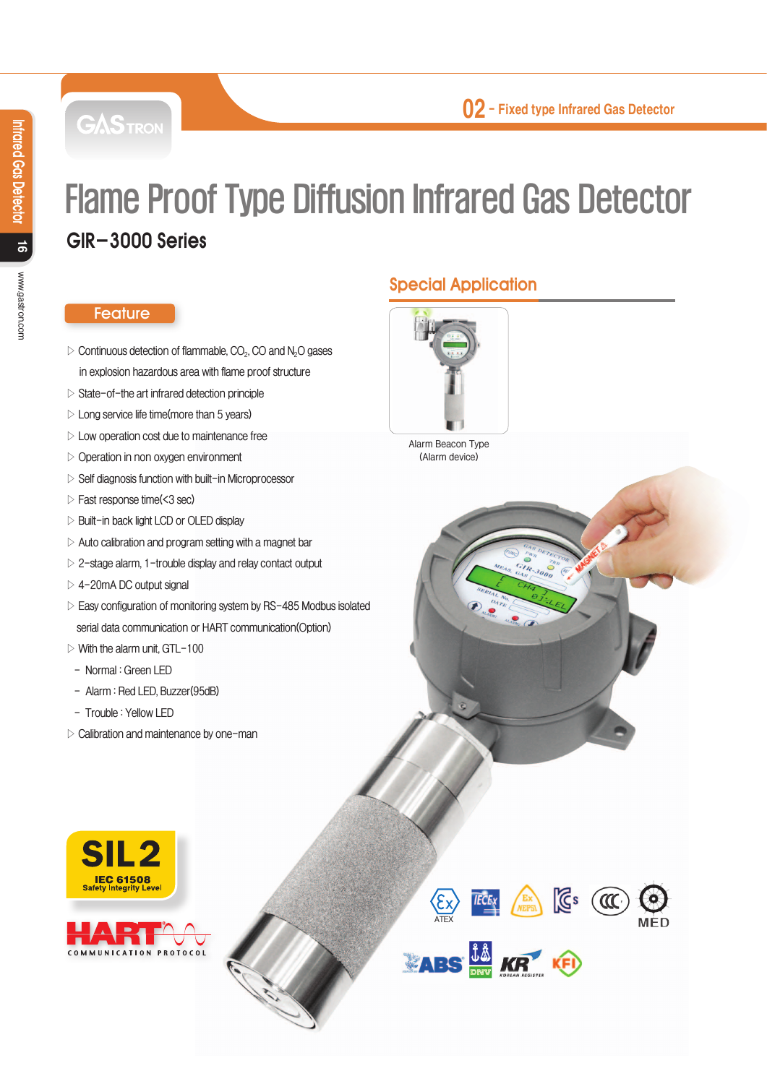**GASTRON** 

# Flame Proof Type Diffusion Infrared Gas Detector GIR-3000 Series

#### **Feature**

- **▷ Continuous detection of flammable, CO2, CO and N2O gases in explosion hazardous area with flame proof structure**
- **▷ State-of-the art infrared detection principle**
- **▷ Long service life time(more than 5 years)**
- **▷ Low operation cost due to maintenance free**
- **▷ Operation in non oxygen environment**
- **▷ Self diagnosis function with built-in Microprocessor**
- **▷ Fast response time(<3 sec)**
- **▷ Built-in back light LCD or OLED display**
- **▷ Auto calibration and program setting with a magnet bar**
- **▷ 2-stage alarm, 1-trouble display and relay contact output**
- **▷ 4-20mA DC output signal**
- **▷ Easy configuration of monitoring system by RS-485 Modbus isolated serial data communication or HART communication(Option)**
- **▷ With the alarm unit, GTL-100**
- **Normal : Green LED**
- **Alarm : Red LED, Buzzer(95dB)**
- **Trouble : Yellow LED**
- **▷ Calibration and maintenance by one-man**





# Special Application



**Alarm Beacon Type (Alarm device)**

**EXTECTS**<br>ATEX<br>**ATES**  $\frac{\hat{\mathbf{J}} \hat{\mathbf{M}}}{\text{DAV}}$  **KR**